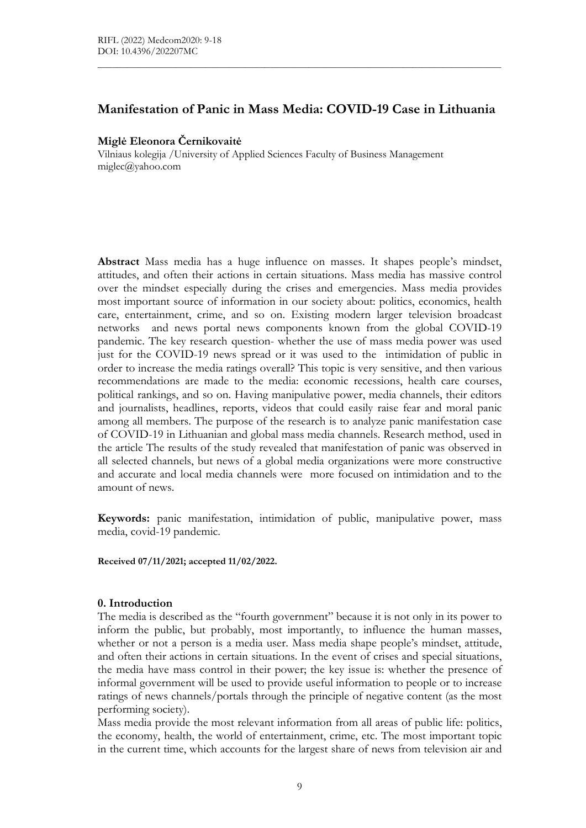# Manifestation of Panic in Mass Media: COVID-19 Case in Lithuania

 $\mathcal{L}_\mathcal{L} = \{ \mathcal{L}_\mathcal{L} = \{ \mathcal{L}_\mathcal{L} = \{ \mathcal{L}_\mathcal{L} = \{ \mathcal{L}_\mathcal{L} = \{ \mathcal{L}_\mathcal{L} = \{ \mathcal{L}_\mathcal{L} = \{ \mathcal{L}_\mathcal{L} = \{ \mathcal{L}_\mathcal{L} = \{ \mathcal{L}_\mathcal{L} = \{ \mathcal{L}_\mathcal{L} = \{ \mathcal{L}_\mathcal{L} = \{ \mathcal{L}_\mathcal{L} = \{ \mathcal{L}_\mathcal{L} = \{ \mathcal{L}_\mathcal{$ 

### Miglė Eleonora Černikovaitė

Vilniaus kolegija /University of Applied Sciences Faculty of Business Management miglec@yahoo.com

Abstract Mass media has a huge influence on masses. It shapes people's mindset, attitudes, and often their actions in certain situations. Mass media has massive control over the mindset especially during the crises and emergencies. Mass media provides most important source of information in our society about: politics, economics, health care, entertainment, crime, and so on. Existing modern larger television broadcast networks and news portal news components known from the global COVID-19 pandemic. The key research question- whether the use of mass media power was used just for the COVID-19 news spread or it was used to the intimidation of public in order to increase the media ratings overall? This topic is very sensitive, and then various recommendations are made to the media: economic recessions, health care courses, political rankings, and so on. Having manipulative power, media channels, their editors and journalists, headlines, reports, videos that could easily raise fear and moral panic among all members. The purpose of the research is to analyze panic manifestation case of COVID-19 in Lithuanian and global mass media channels. Research method, used in the article The results of the study revealed that manifestation of panic was observed in all selected channels, but news of a global media organizations were more constructive and accurate and local media channels were more focused on intimidation and to the amount of news.

Keywords: panic manifestation, intimidation of public, manipulative power, mass media, covid-19 pandemic.

Received 07/11/2021; accepted 11/02/2022.

#### 0. Introduction

The media is described as the "fourth government" because it is not only in its power to inform the public, but probably, most importantly, to influence the human masses, whether or not a person is a media user. Mass media shape people's mindset, attitude, and often their actions in certain situations. In the event of crises and special situations, the media have mass control in their power; the key issue is: whether the presence of informal government will be used to provide useful information to people or to increase ratings of news channels/portals through the principle of negative content (as the most performing society).

Mass media provide the most relevant information from all areas of public life: politics, the economy, health, the world of entertainment, crime, etc. The most important topic in the current time, which accounts for the largest share of news from television air and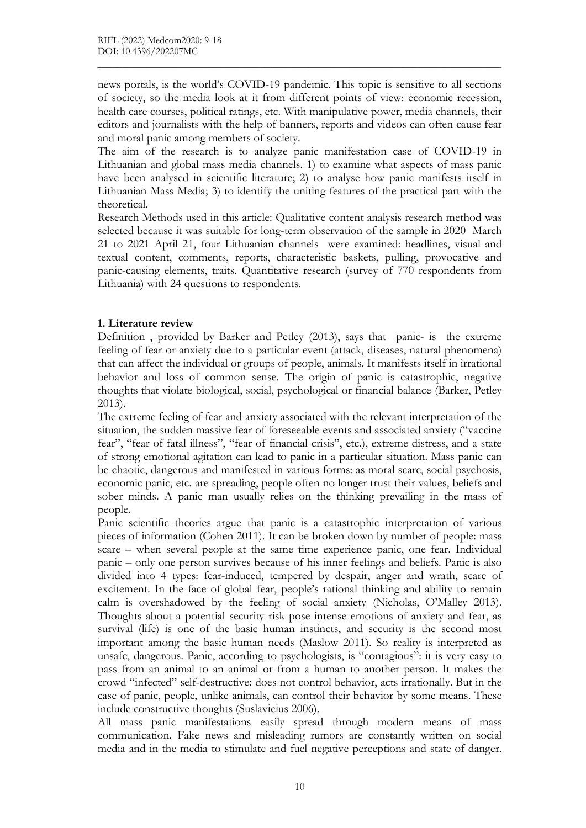news portals, is the world's COVID-19 pandemic. This topic is sensitive to all sections of society, so the media look at it from different points of view: economic recession, health care courses, political ratings, etc. With manipulative power, media channels, their editors and journalists with the help of banners, reports and videos can often cause fear and moral panic among members of society.

 $\mathcal{L}_\mathcal{L} = \{ \mathcal{L}_\mathcal{L} = \{ \mathcal{L}_\mathcal{L} = \{ \mathcal{L}_\mathcal{L} = \{ \mathcal{L}_\mathcal{L} = \{ \mathcal{L}_\mathcal{L} = \{ \mathcal{L}_\mathcal{L} = \{ \mathcal{L}_\mathcal{L} = \{ \mathcal{L}_\mathcal{L} = \{ \mathcal{L}_\mathcal{L} = \{ \mathcal{L}_\mathcal{L} = \{ \mathcal{L}_\mathcal{L} = \{ \mathcal{L}_\mathcal{L} = \{ \mathcal{L}_\mathcal{L} = \{ \mathcal{L}_\mathcal{$ 

The aim of the research is to analyze panic manifestation case of COVID-19 in Lithuanian and global mass media channels. 1) to examine what aspects of mass panic have been analysed in scientific literature; 2) to analyse how panic manifests itself in Lithuanian Mass Media; 3) to identify the uniting features of the practical part with the theoretical.

Research Methods used in this article: Qualitative content analysis research method was selected because it was suitable for long-term observation of the sample in 2020 March 21 to 2021 April 21, four Lithuanian channels were examined: headlines, visual and textual content, comments, reports, characteristic baskets, pulling, provocative and panic-causing elements, traits. Quantitative research (survey of 770 respondents from Lithuania) with 24 questions to respondents.

# 1. Literature review

Definition , provided by Barker and Petley (2013), says that panic- is the extreme feeling of fear or anxiety due to a particular event (attack, diseases, natural phenomena) that can affect the individual or groups of people, animals. It manifests itself in irrational behavior and loss of common sense. The origin of panic is catastrophic, negative thoughts that violate biological, social, psychological or financial balance (Barker, Petley 2013).

The extreme feeling of fear and anxiety associated with the relevant interpretation of the situation, the sudden massive fear of foreseeable events and associated anxiety ("vaccine fear", "fear of fatal illness", "fear of financial crisis", etc.), extreme distress, and a state of strong emotional agitation can lead to panic in a particular situation. Mass panic can be chaotic, dangerous and manifested in various forms: as moral scare, social psychosis, economic panic, etc. are spreading, people often no longer trust their values, beliefs and sober minds. A panic man usually relies on the thinking prevailing in the mass of people.

Panic scientific theories argue that panic is a catastrophic interpretation of various pieces of information (Cohen 2011). It can be broken down by number of people: mass scare – when several people at the same time experience panic, one fear. Individual panic – only one person survives because of his inner feelings and beliefs. Panic is also divided into 4 types: fear-induced, tempered by despair, anger and wrath, scare of excitement. In the face of global fear, people's rational thinking and ability to remain calm is overshadowed by the feeling of social anxiety (Nicholas, O'Malley 2013). Thoughts about a potential security risk pose intense emotions of anxiety and fear, as survival (life) is one of the basic human instincts, and security is the second most important among the basic human needs (Maslow 2011). So reality is interpreted as unsafe, dangerous. Panic, according to psychologists, is "contagious": it is very easy to pass from an animal to an animal or from a human to another person. It makes the crowd "infected" self-destructive: does not control behavior, acts irrationally. But in the case of panic, people, unlike animals, can control their behavior by some means. These include constructive thoughts (Suslavicius 2006).

All mass panic manifestations easily spread through modern means of mass communication. Fake news and misleading rumors are constantly written on social media and in the media to stimulate and fuel negative perceptions and state of danger.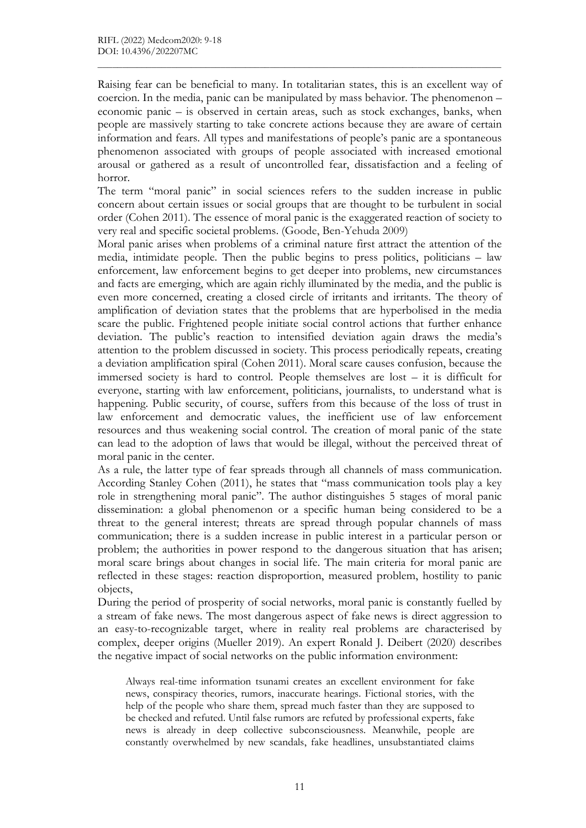Raising fear can be beneficial to many. In totalitarian states, this is an excellent way of coercion. In the media, panic can be manipulated by mass behavior. The phenomenon – economic panic – is observed in certain areas, such as stock exchanges, banks, when people are massively starting to take concrete actions because they are aware of certain information and fears. All types and manifestations of people's panic are a spontaneous phenomenon associated with groups of people associated with increased emotional arousal or gathered as a result of uncontrolled fear, dissatisfaction and a feeling of horror.

 $\mathcal{L}_\mathcal{L} = \{ \mathcal{L}_\mathcal{L} = \{ \mathcal{L}_\mathcal{L} = \{ \mathcal{L}_\mathcal{L} = \{ \mathcal{L}_\mathcal{L} = \{ \mathcal{L}_\mathcal{L} = \{ \mathcal{L}_\mathcal{L} = \{ \mathcal{L}_\mathcal{L} = \{ \mathcal{L}_\mathcal{L} = \{ \mathcal{L}_\mathcal{L} = \{ \mathcal{L}_\mathcal{L} = \{ \mathcal{L}_\mathcal{L} = \{ \mathcal{L}_\mathcal{L} = \{ \mathcal{L}_\mathcal{L} = \{ \mathcal{L}_\mathcal{$ 

The term "moral panic" in social sciences refers to the sudden increase in public concern about certain issues or social groups that are thought to be turbulent in social order (Cohen 2011). The essence of moral panic is the exaggerated reaction of society to very real and specific societal problems. (Goode, Ben-Yehuda 2009)

Moral panic arises when problems of a criminal nature first attract the attention of the media, intimidate people. Then the public begins to press politics, politicians – law enforcement, law enforcement begins to get deeper into problems, new circumstances and facts are emerging, which are again richly illuminated by the media, and the public is even more concerned, creating a closed circle of irritants and irritants. The theory of amplification of deviation states that the problems that are hyperbolised in the media scare the public. Frightened people initiate social control actions that further enhance deviation. The public's reaction to intensified deviation again draws the media's attention to the problem discussed in society. This process periodically repeats, creating a deviation amplification spiral (Cohen 2011). Moral scare causes confusion, because the immersed society is hard to control. People themselves are lost – it is difficult for everyone, starting with law enforcement, politicians, journalists, to understand what is happening. Public security, of course, suffers from this because of the loss of trust in law enforcement and democratic values, the inefficient use of law enforcement resources and thus weakening social control. The creation of moral panic of the state can lead to the adoption of laws that would be illegal, without the perceived threat of moral panic in the center.

As a rule, the latter type of fear spreads through all channels of mass communication. According Stanley Cohen (2011), he states that "mass communication tools play a key role in strengthening moral panic". The author distinguishes 5 stages of moral panic dissemination: a global phenomenon or a specific human being considered to be a threat to the general interest; threats are spread through popular channels of mass communication; there is a sudden increase in public interest in a particular person or problem; the authorities in power respond to the dangerous situation that has arisen; moral scare brings about changes in social life. The main criteria for moral panic are reflected in these stages: reaction disproportion, measured problem, hostility to panic objects,

During the period of prosperity of social networks, moral panic is constantly fuelled by a stream of fake news. The most dangerous aspect of fake news is direct aggression to an easy-to-recognizable target, where in reality real problems are characterised by complex, deeper origins (Mueller 2019). An expert Ronald J. Deibert (2020) describes the negative impact of social networks on the public information environment:

Always real-time information tsunami creates an excellent environment for fake news, conspiracy theories, rumors, inaccurate hearings. Fictional stories, with the help of the people who share them, spread much faster than they are supposed to be checked and refuted. Until false rumors are refuted by professional experts, fake news is already in deep collective subconsciousness. Meanwhile, people are constantly overwhelmed by new scandals, fake headlines, unsubstantiated claims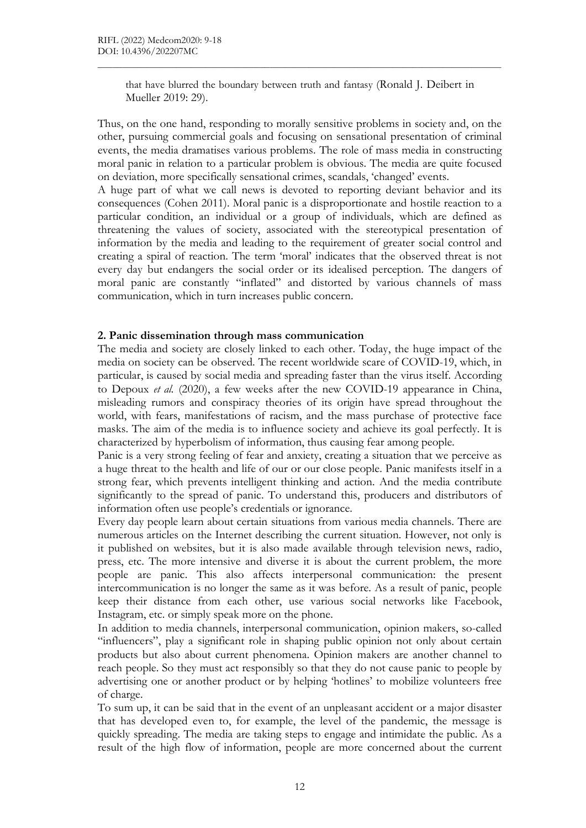that have blurred the boundary between truth and fantasy (Ronald J. Deibert in Mueller 2019: 29).

 $\mathcal{L}_\mathcal{L} = \{ \mathcal{L}_\mathcal{L} = \{ \mathcal{L}_\mathcal{L} = \{ \mathcal{L}_\mathcal{L} = \{ \mathcal{L}_\mathcal{L} = \{ \mathcal{L}_\mathcal{L} = \{ \mathcal{L}_\mathcal{L} = \{ \mathcal{L}_\mathcal{L} = \{ \mathcal{L}_\mathcal{L} = \{ \mathcal{L}_\mathcal{L} = \{ \mathcal{L}_\mathcal{L} = \{ \mathcal{L}_\mathcal{L} = \{ \mathcal{L}_\mathcal{L} = \{ \mathcal{L}_\mathcal{L} = \{ \mathcal{L}_\mathcal{$ 

Thus, on the one hand, responding to morally sensitive problems in society and, on the other, pursuing commercial goals and focusing on sensational presentation of criminal events, the media dramatises various problems. The role of mass media in constructing moral panic in relation to a particular problem is obvious. The media are quite focused on deviation, more specifically sensational crimes, scandals, 'changed' events.

A huge part of what we call news is devoted to reporting deviant behavior and its consequences (Cohen 2011). Moral panic is a disproportionate and hostile reaction to a particular condition, an individual or a group of individuals, which are defined as threatening the values of society, associated with the stereotypical presentation of information by the media and leading to the requirement of greater social control and creating a spiral of reaction. The term 'moral' indicates that the observed threat is not every day but endangers the social order or its idealised perception. The dangers of moral panic are constantly "inflated" and distorted by various channels of mass communication, which in turn increases public concern.

#### 2. Panic dissemination through mass communication

The media and society are closely linked to each other. Today, the huge impact of the media on society can be observed. The recent worldwide scare of COVID-19, which, in particular, is caused by social media and spreading faster than the virus itself. According to Depoux et al. (2020), a few weeks after the new COVID-19 appearance in China, misleading rumors and conspiracy theories of its origin have spread throughout the world, with fears, manifestations of racism, and the mass purchase of protective face masks. The aim of the media is to influence society and achieve its goal perfectly. It is characterized by hyperbolism of information, thus causing fear among people.

Panic is a very strong feeling of fear and anxiety, creating a situation that we perceive as a huge threat to the health and life of our or our close people. Panic manifests itself in a strong fear, which prevents intelligent thinking and action. And the media contribute significantly to the spread of panic. To understand this, producers and distributors of information often use people's credentials or ignorance.

Every day people learn about certain situations from various media channels. There are numerous articles on the Internet describing the current situation. However, not only is it published on websites, but it is also made available through television news, radio, press, etc. The more intensive and diverse it is about the current problem, the more people are panic. This also affects interpersonal communication: the present intercommunication is no longer the same as it was before. As a result of panic, people keep their distance from each other, use various social networks like Facebook, Instagram, etc. or simply speak more on the phone.

In addition to media channels, interpersonal communication, opinion makers, so-called "influencers", play a significant role in shaping public opinion not only about certain products but also about current phenomena. Opinion makers are another channel to reach people. So they must act responsibly so that they do not cause panic to people by advertising one or another product or by helping 'hotlines' to mobilize volunteers free of charge.

To sum up, it can be said that in the event of an unpleasant accident or a major disaster that has developed even to, for example, the level of the pandemic, the message is quickly spreading. The media are taking steps to engage and intimidate the public. As a result of the high flow of information, people are more concerned about the current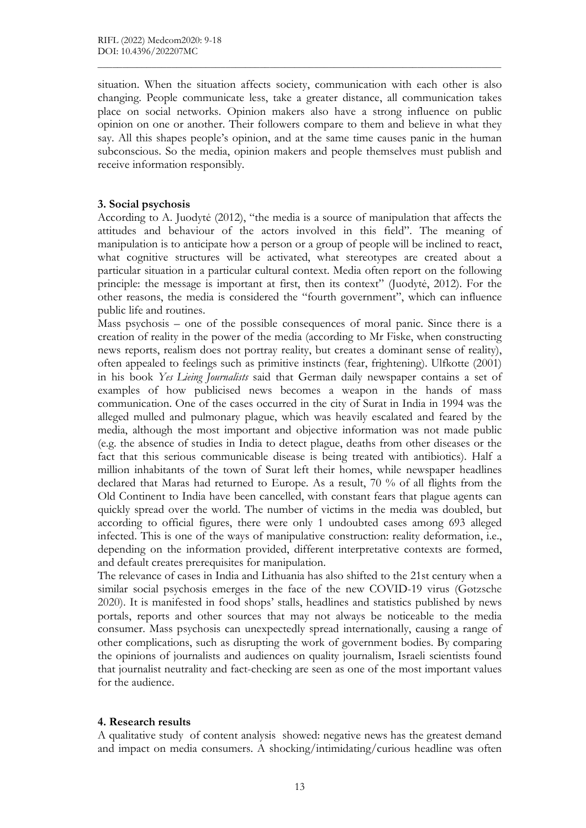situation. When the situation affects society, communication with each other is also changing. People communicate less, take a greater distance, all communication takes place on social networks. Opinion makers also have a strong influence on public opinion on one or another. Their followers compare to them and believe in what they say. All this shapes people's opinion, and at the same time causes panic in the human subconscious. So the media, opinion makers and people themselves must publish and receive information responsibly.

 $\mathcal{L}_\mathcal{L} = \{ \mathcal{L}_\mathcal{L} = \{ \mathcal{L}_\mathcal{L} = \{ \mathcal{L}_\mathcal{L} = \{ \mathcal{L}_\mathcal{L} = \{ \mathcal{L}_\mathcal{L} = \{ \mathcal{L}_\mathcal{L} = \{ \mathcal{L}_\mathcal{L} = \{ \mathcal{L}_\mathcal{L} = \{ \mathcal{L}_\mathcal{L} = \{ \mathcal{L}_\mathcal{L} = \{ \mathcal{L}_\mathcal{L} = \{ \mathcal{L}_\mathcal{L} = \{ \mathcal{L}_\mathcal{L} = \{ \mathcal{L}_\mathcal{$ 

## 3. Social psychosis

According to A. Juodytė (2012), "the media is a source of manipulation that affects the attitudes and behaviour of the actors involved in this field". The meaning of manipulation is to anticipate how a person or a group of people will be inclined to react, what cognitive structures will be activated, what stereotypes are created about a particular situation in a particular cultural context. Media often report on the following principle: the message is important at first, then its context" (Juodytė, 2012). For the other reasons, the media is considered the "fourth government", which can influence public life and routines.

Mass psychosis – one of the possible consequences of moral panic. Since there is a creation of reality in the power of the media (according to Mr Fiske, when constructing news reports, realism does not portray reality, but creates a dominant sense of reality), often appealed to feelings such as primitive instincts (fear, frightening). Ulfkotte (2001) in his book Yes Lieing Journalists said that German daily newspaper contains a set of examples of how publicised news becomes a weapon in the hands of mass communication. One of the cases occurred in the city of Surat in India in 1994 was the alleged mulled and pulmonary plague, which was heavily escalated and feared by the media, although the most important and objective information was not made public (e.g. the absence of studies in India to detect plague, deaths from other diseases or the fact that this serious communicable disease is being treated with antibiotics). Half a million inhabitants of the town of Surat left their homes, while newspaper headlines declared that Maras had returned to Europe. As a result, 70 % of all flights from the Old Continent to India have been cancelled, with constant fears that plague agents can quickly spread over the world. The number of victims in the media was doubled, but according to official figures, there were only 1 undoubted cases among 693 alleged infected. This is one of the ways of manipulative construction: reality deformation, i.e., depending on the information provided, different interpretative contexts are formed, and default creates prerequisites for manipulation.

The relevance of cases in India and Lithuania has also shifted to the 21st century when a similar social psychosis emerges in the face of the new COVID-19 virus (Gøtzsche 2020). It is manifested in food shops' stalls, headlines and statistics published by news portals, reports and other sources that may not always be noticeable to the media consumer. Mass psychosis can unexpectedly spread internationally, causing a range of other complications, such as disrupting the work of government bodies. By comparing the opinions of journalists and audiences on quality journalism, Israeli scientists found that journalist neutrality and fact-checking are seen as one of the most important values for the audience.

## 4. Research results

A qualitative study of content analysis showed: negative news has the greatest demand and impact on media consumers. A shocking/intimidating/curious headline was often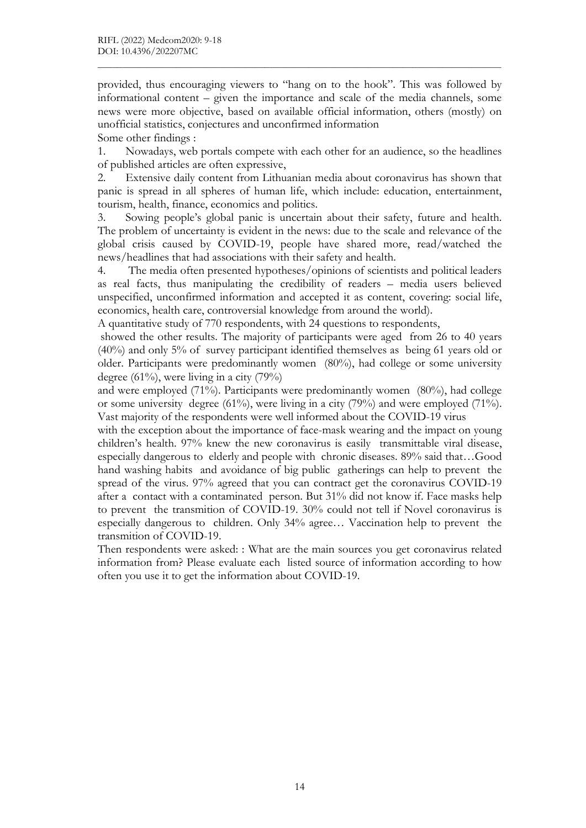provided, thus encouraging viewers to "hang on to the hook". This was followed by informational content – given the importance and scale of the media channels, some news were more objective, based on available official information, others (mostly) on unofficial statistics, conjectures and unconfirmed information Some other findings :

 $\mathcal{L}_\mathcal{L} = \{ \mathcal{L}_\mathcal{L} = \{ \mathcal{L}_\mathcal{L} = \{ \mathcal{L}_\mathcal{L} = \{ \mathcal{L}_\mathcal{L} = \{ \mathcal{L}_\mathcal{L} = \{ \mathcal{L}_\mathcal{L} = \{ \mathcal{L}_\mathcal{L} = \{ \mathcal{L}_\mathcal{L} = \{ \mathcal{L}_\mathcal{L} = \{ \mathcal{L}_\mathcal{L} = \{ \mathcal{L}_\mathcal{L} = \{ \mathcal{L}_\mathcal{L} = \{ \mathcal{L}_\mathcal{L} = \{ \mathcal{L}_\mathcal{$ 

1. Nowadays, web portals compete with each other for an audience, so the headlines of published articles are often expressive,

2. Extensive daily content from Lithuanian media about coronavirus has shown that panic is spread in all spheres of human life, which include: education, entertainment, tourism, health, finance, economics and politics.

Sowing people's global panic is uncertain about their safety, future and health. The problem of uncertainty is evident in the news: due to the scale and relevance of the global crisis caused by COVID-19, people have shared more, read/watched the news/headlines that had associations with their safety and health.

4. The media often presented hypotheses/opinions of scientists and political leaders as real facts, thus manipulating the credibility of readers – media users believed unspecified, unconfirmed information and accepted it as content, covering: social life, economics, health care, controversial knowledge from around the world).

A quantitative study of 770 respondents, with 24 questions to respondents,

 showed the other results. The majority of participants were aged from 26 to 40 years (40%) and only 5% of survey participant identified themselves as being 61 years old or older. Participants were predominantly women (80%), had college or some university degree (61%), were living in a city (79%)

and were employed (71%). Participants were predominantly women (80%), had college or some university degree (61%), were living in a city (79%) and were employed (71%). Vast majority of the respondents were well informed about the COVID-19 virus

with the exception about the importance of face-mask wearing and the impact on young children's health. 97% knew the new coronavirus is easily transmittable viral disease, especially dangerous to elderly and people with chronic diseases. 89% said that…Good hand washing habits and avoidance of big public gatherings can help to prevent the spread of the virus. 97% agreed that you can contract get the coronavirus COVID-19 after a contact with a contaminated person. But 31% did not know if. Face masks help to prevent the transmition of COVID-19. 30% could not tell if Novel coronavirus is especially dangerous to children. Only 34% agree… Vaccination help to prevent the transmition of COVID-19.

Then respondents were asked: : What are the main sources you get coronavirus related information from? Please evaluate each listed source of information according to how often you use it to get the information about COVID-19.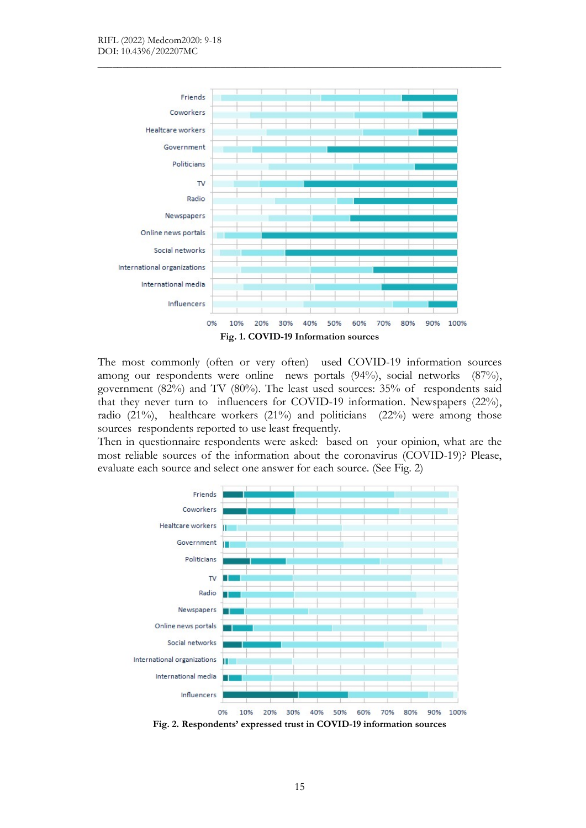

 $\mathcal{L}_\mathcal{L} = \{ \mathcal{L}_\mathcal{L} = \{ \mathcal{L}_\mathcal{L} = \{ \mathcal{L}_\mathcal{L} = \{ \mathcal{L}_\mathcal{L} = \{ \mathcal{L}_\mathcal{L} = \{ \mathcal{L}_\mathcal{L} = \{ \mathcal{L}_\mathcal{L} = \{ \mathcal{L}_\mathcal{L} = \{ \mathcal{L}_\mathcal{L} = \{ \mathcal{L}_\mathcal{L} = \{ \mathcal{L}_\mathcal{L} = \{ \mathcal{L}_\mathcal{L} = \{ \mathcal{L}_\mathcal{L} = \{ \mathcal{L}_\mathcal{$ 

The most commonly (often or very often) used COVID-19 information sources among our respondents were online news portals (94%), social networks (87%), government (82%) and TV (80%). The least used sources: 35% of respondents said that they never turn to influencers for COVID-19 information. Newspapers (22%), radio (21%), healthcare workers (21%) and politicians (22%) were among those sources respondents reported to use least frequently.

Then in questionnaire respondents were asked: based on your opinion, what are the most reliable sources of the information about the coronavirus (COVID-19)? Please, evaluate each source and select one answer for each source. (See Fig. 2)



Fig. 2. Respondents' expressed trust in COVID-19 information sources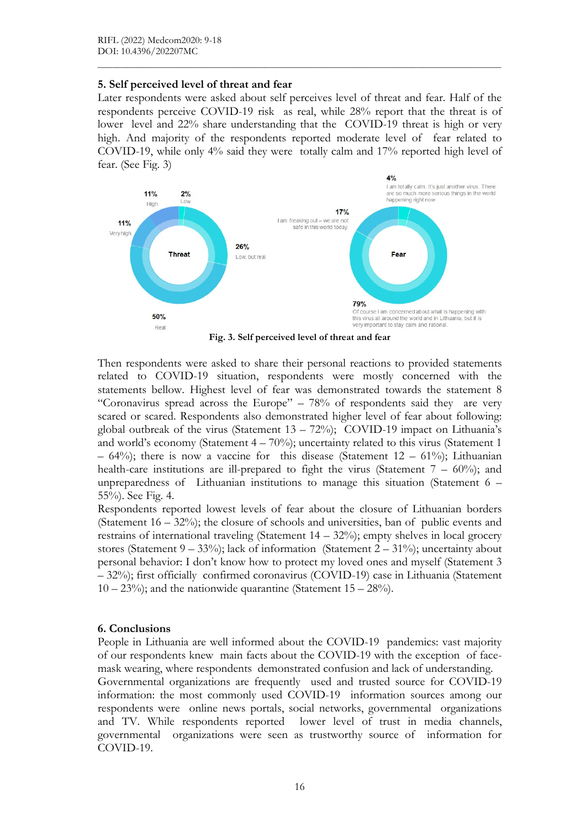### 5. Self perceived level of threat and fear

Later respondents were asked about self perceives level of threat and fear. Half of the respondents perceive COVID-19 risk as real, while 28% report that the threat is of lower level and 22% share understanding that the COVID-19 threat is high or very high. And majority of the respondents reported moderate level of fear related to COVID-19, while only 4% said they were totally calm and 17% reported high level of fear. (See Fig. 3)

 $\mathcal{L}_\mathcal{L} = \{ \mathcal{L}_\mathcal{L} = \{ \mathcal{L}_\mathcal{L} = \{ \mathcal{L}_\mathcal{L} = \{ \mathcal{L}_\mathcal{L} = \{ \mathcal{L}_\mathcal{L} = \{ \mathcal{L}_\mathcal{L} = \{ \mathcal{L}_\mathcal{L} = \{ \mathcal{L}_\mathcal{L} = \{ \mathcal{L}_\mathcal{L} = \{ \mathcal{L}_\mathcal{L} = \{ \mathcal{L}_\mathcal{L} = \{ \mathcal{L}_\mathcal{L} = \{ \mathcal{L}_\mathcal{L} = \{ \mathcal{L}_\mathcal{$ 



Fig. 3. Self perceived level of threat and fear

Then respondents were asked to share their personal reactions to provided statements related to COVID-19 situation, respondents were mostly concerned with the statements bellow. Highest level of fear was demonstrated towards the statement 8 "Coronavirus spread across the Europe" – 78% of respondents said they are very scared or scared. Respondents also demonstrated higher level of fear about following: global outbreak of the virus (Statement 13 – 72%); COVID-19 impact on Lithuania's and world's economy (Statement  $4 - 70\%$ ); uncertainty related to this virus (Statement 1  $-64%$ ; there is now a vaccine for this disease (Statement  $12 - 61%$ ); Lithuanian health-care institutions are ill-prepared to fight the virus (Statement  $7 - 60\%$ ); and unpreparedness of Lithuanian institutions to manage this situation (Statement 6 – 55%). See Fig. 4.

Respondents reported lowest levels of fear about the closure of Lithuanian borders (Statement  $16 - 32\%$ ); the closure of schools and universities, ban of public events and restrains of international traveling (Statement  $14 - 32\%)$ ; empty shelves in local grocery stores (Statement  $9 - 33\%)$ ; lack of information (Statement  $2 - 31\%$ ); uncertainty about personal behavior: I don't know how to protect my loved ones and myself (Statement 3 – 32%); first officially confirmed coronavirus (COVID-19) case in Lithuania (Statement  $10 - 23\%)$ ; and the nationwide quarantine (Statement  $15 - 28\%$ ).

## 6. Conclusions

People in Lithuania are well informed about the COVID-19 pandemics: vast majority of our respondents knew main facts about the COVID-19 with the exception of facemask wearing, where respondents demonstrated confusion and lack of understanding. Governmental organizations are frequently used and trusted source for COVID-19 information: the most commonly used COVID-19 information sources among our respondents were online news portals, social networks, governmental organizations and TV. While respondents reported lower level of trust in media channels, governmental organizations were seen as trustworthy source of information for COVID-19.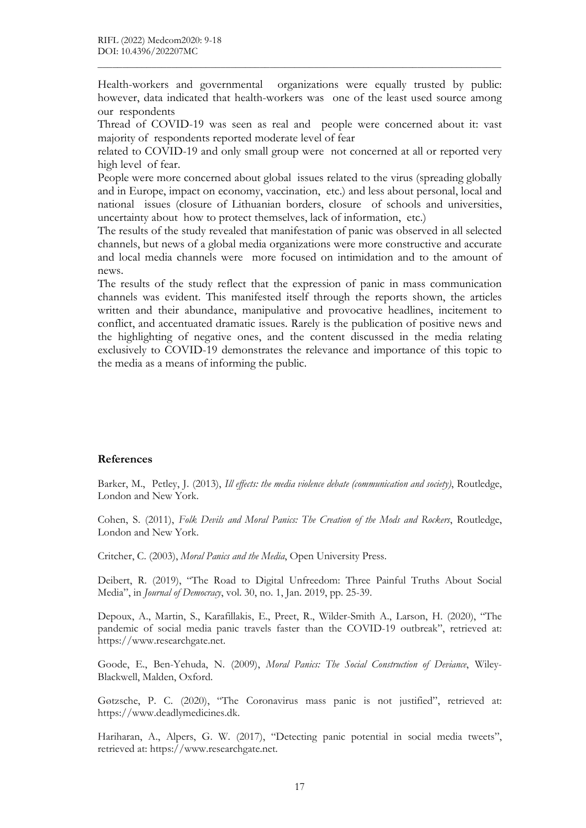Health-workers and governmental organizations were equally trusted by public: however, data indicated that health-workers was one of the least used source among our respondents

 $\mathcal{L}_\mathcal{L} = \{ \mathcal{L}_\mathcal{L} = \{ \mathcal{L}_\mathcal{L} = \{ \mathcal{L}_\mathcal{L} = \{ \mathcal{L}_\mathcal{L} = \{ \mathcal{L}_\mathcal{L} = \{ \mathcal{L}_\mathcal{L} = \{ \mathcal{L}_\mathcal{L} = \{ \mathcal{L}_\mathcal{L} = \{ \mathcal{L}_\mathcal{L} = \{ \mathcal{L}_\mathcal{L} = \{ \mathcal{L}_\mathcal{L} = \{ \mathcal{L}_\mathcal{L} = \{ \mathcal{L}_\mathcal{L} = \{ \mathcal{L}_\mathcal{$ 

Thread of COVID-19 was seen as real and people were concerned about it: vast majority of respondents reported moderate level of fear

related to COVID-19 and only small group were not concerned at all or reported very high level of fear.

People were more concerned about global issues related to the virus (spreading globally and in Europe, impact on economy, vaccination, etc.) and less about personal, local and national issues (closure of Lithuanian borders, closure of schools and universities, uncertainty about how to protect themselves, lack of information, etc.)

The results of the study revealed that manifestation of panic was observed in all selected channels, but news of a global media organizations were more constructive and accurate and local media channels were more focused on intimidation and to the amount of news.

The results of the study reflect that the expression of panic in mass communication channels was evident. This manifested itself through the reports shown, the articles written and their abundance, manipulative and provocative headlines, incitement to conflict, and accentuated dramatic issues. Rarely is the publication of positive news and the highlighting of negative ones, and the content discussed in the media relating exclusively to COVID-19 demonstrates the relevance and importance of this topic to the media as a means of informing the public.

#### References

Barker, M., Petley, J. (2013), Ill effects: the media violence debate (communication and society), Routledge, London and New York.

Cohen, S. (2011), Folk Devils and Moral Panics: The Creation of the Mods and Rockers, Routledge, London and New York.

Critcher, C. (2003), Moral Panics and the Media, Open University Press.

Deibert, R. (2019), "The Road to Digital Unfreedom: Three Painful Truths About Social Media", in Journal of Democracy, vol. 30, no. 1, Jan. 2019, pp. 25-39.

Depoux, A., Martin, S., Karafillakis, E., Preet, R., Wilder-Smith A., Larson, H. (2020), "The pandemic of social media panic travels faster than the COVID-19 outbreak", retrieved at: https://www.researchgate.net.

Goode, E., Ben-Yehuda, N. (2009), Moral Panics: The Social Construction of Deviance, Wiley-Blackwell, Malden, Oxford.

Gøtzsche, P. C. (2020), "The Coronavirus mass panic is not justified", retrieved at: https://www.deadlymedicines.dk.

Hariharan, A., Alpers, G. W. (2017), "Detecting panic potential in social media tweets", retrieved at: https://www.researchgate.net.